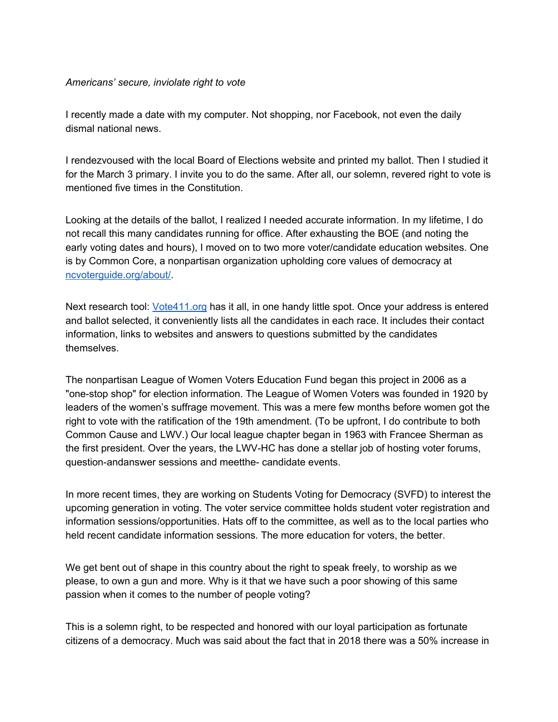## *Americans' secure, inviolate right to vote*

I recently made a date with my computer. Not shopping, nor Facebook, not even the daily dismal national news.

I rendezvoused with the local Board of Elections website and printed my ballot. Then I studied it for the March 3 primary. I invite you to do the same. After all, our solemn, revered right to vote is mentioned five times in the Constitution.

Looking at the details of the ballot, I realized I needed accurate information. In my lifetime, I do not recall this many candidates running for office. After exhausting the BOE (and noting the early voting dates and hours), I moved on to two more voter/candidate education websites. One is by Common Core, a nonpartisan organization upholding core values of democracy at [ncvoterguide.org/about/.](http://ncvoterguide.org/about/)

Next research tool: [Vote411.org](http://vote411.org/) has it all, in one handy little spot. Once your address is entered and ballot selected, it conveniently lists all the candidates in each race. It includes their contact information, links to websites and answers to questions submitted by the candidates themselves.

The nonpartisan League of Women Voters Education Fund began this project in 2006 as a "one-stop shop" for election information. The League of Women Voters was founded in 1920 by leaders of the women's suffrage movement. This was a mere few months before women got the right to vote with the ratification of the 19th amendment. (To be upfront, I do contribute to both Common Cause and LWV.) Our local league chapter began in 1963 with Francee Sherman as the first president. Over the years, the LWV-HC has done a stellar job of hosting voter forums, question-andanswer sessions and meetthe- candidate events.

In more recent times, they are working on Students Voting for Democracy (SVFD) to interest the upcoming generation in voting. The voter service committee holds student voter registration and information sessions/opportunities. Hats off to the committee, as well as to the local parties who held recent candidate information sessions. The more education for voters, the better.

We get bent out of shape in this country about the right to speak freely, to worship as we please, to own a gun and more. Why is it that we have such a poor showing of this same passion when it comes to the number of people voting?

This is a solemn right, to be respected and honored with our loyal participation as fortunate citizens of a democracy. Much was said about the fact that in 2018 there was a 50% increase in